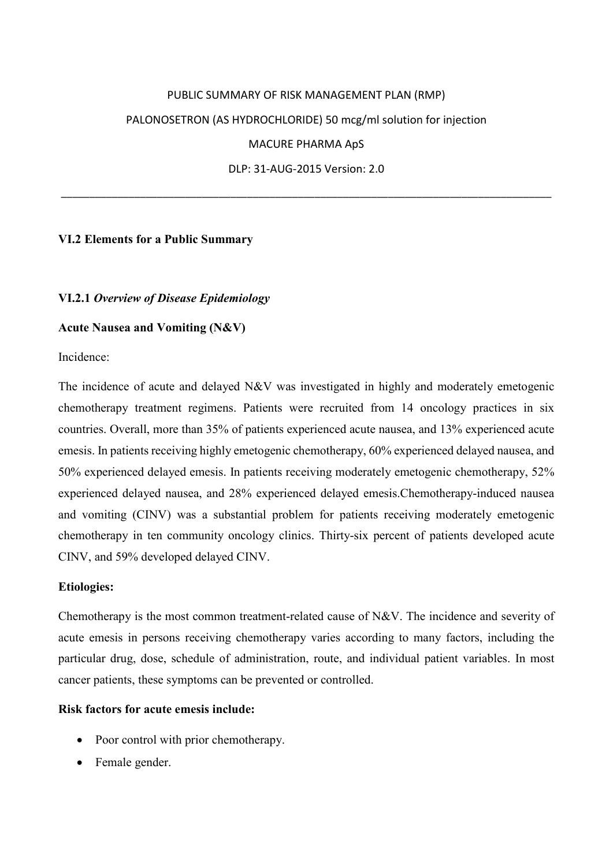# PUBLIC SUMMARY OF RISK MANAGEMENT PLAN (RMP) PALONOSETRON (AS HYDROCHLORIDE) 50 mcg/ml solution for injection MACURE PHARMA ApS DLP: 31-AUG-2015 Version: 2.0

\_\_\_\_\_\_\_\_\_\_\_\_\_\_\_\_\_\_\_\_\_\_\_\_\_\_\_\_\_\_\_\_\_\_\_\_\_\_\_\_\_\_\_\_\_\_\_\_\_\_\_\_\_\_\_\_\_\_\_\_\_\_\_\_\_\_\_\_\_\_\_\_\_\_\_\_\_\_\_\_\_\_\_\_\_\_\_

# **VI.2 Elements for a Public Summary**

# **VI.2.1** *Overview of Disease Epidemiology*

#### **Acute Nausea and Vomiting (N&V)**

Incidence:

The incidence of acute and delayed N&V was investigated in highly and moderately emetogenic chemotherapy treatment regimens. Patients were recruited from 14 oncology practices in six countries. Overall, more than 35% of patients experienced acute nausea, and 13% experienced acute emesis. In patients receiving highly emetogenic chemotherapy, 60% experienced delayed nausea, and 50% experienced delayed emesis. In patients receiving moderately emetogenic chemotherapy, 52% experienced delayed nausea, and 28% experienced delayed emesis.Chemotherapy-induced nausea and vomiting (CINV) was a substantial problem for patients receiving moderately emetogenic chemotherapy in ten community oncology clinics. Thirty-six percent of patients developed acute CINV, and 59% developed delayed CINV.

# **Etiologies:**

Chemotherapy is the most common treatment-related cause of N&V. The incidence and severity of acute emesis in persons receiving chemotherapy varies according to many factors, including the particular drug, dose, schedule of administration, route, and individual patient variables. In most cancer patients, these symptoms can be prevented or controlled.

# **Risk factors for acute emesis include:**

- Poor control with prior chemotherapy.
- Female gender.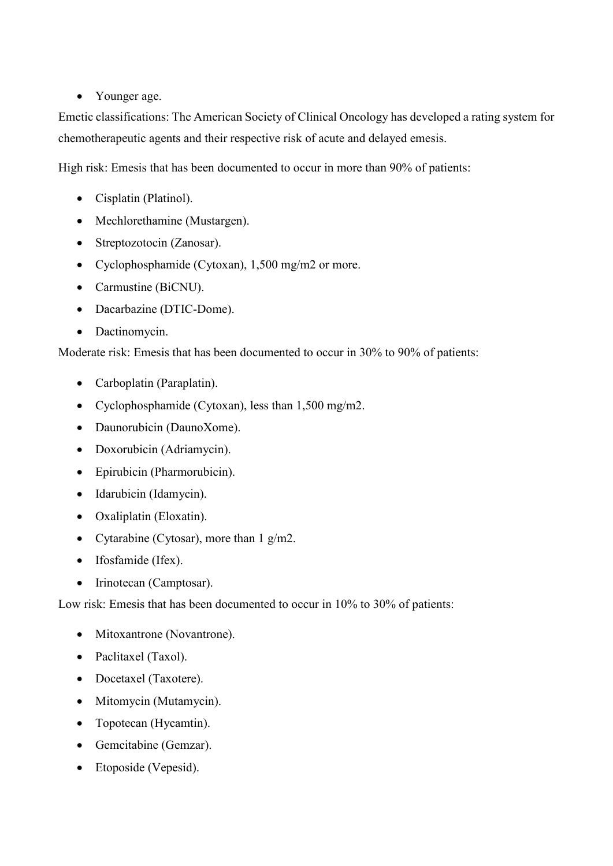• Younger age.

Emetic classifications: The American Society of Clinical Oncology has developed a rating system for chemotherapeutic agents and their respective risk of acute and delayed emesis.

High risk: Emesis that has been documented to occur in more than 90% of patients:

- Cisplatin (Platinol).
- Mechlorethamine (Mustargen).
- Streptozotocin (Zanosar).
- Cyclophosphamide (Cytoxan), 1,500 mg/m2 or more.
- Carmustine (BiCNU).
- Dacarbazine (DTIC-Dome).
- Dactinomycin.

Moderate risk: Emesis that has been documented to occur in 30% to 90% of patients:

- Carboplatin (Paraplatin).
- Cyclophosphamide (Cytoxan), less than 1,500 mg/m2.
- Daunorubicin (DaunoXome).
- Doxorubicin (Adriamycin).
- Epirubicin (Pharmorubicin).
- Idarubicin (Idamycin).
- Oxaliplatin (Eloxatin).
- Cytarabine (Cytosar), more than  $1 \text{ g/m2}$ .
- Ifosfamide (Ifex).
- Irinotecan (Camptosar).

Low risk: Emesis that has been documented to occur in 10% to 30% of patients:

- Mitoxantrone (Novantrone).
- Paclitaxel (Taxol).
- Docetaxel (Taxotere).
- Mitomycin (Mutamycin).
- Topotecan (Hycamtin).
- Gemcitabine (Gemzar).
- Etoposide (Vepesid).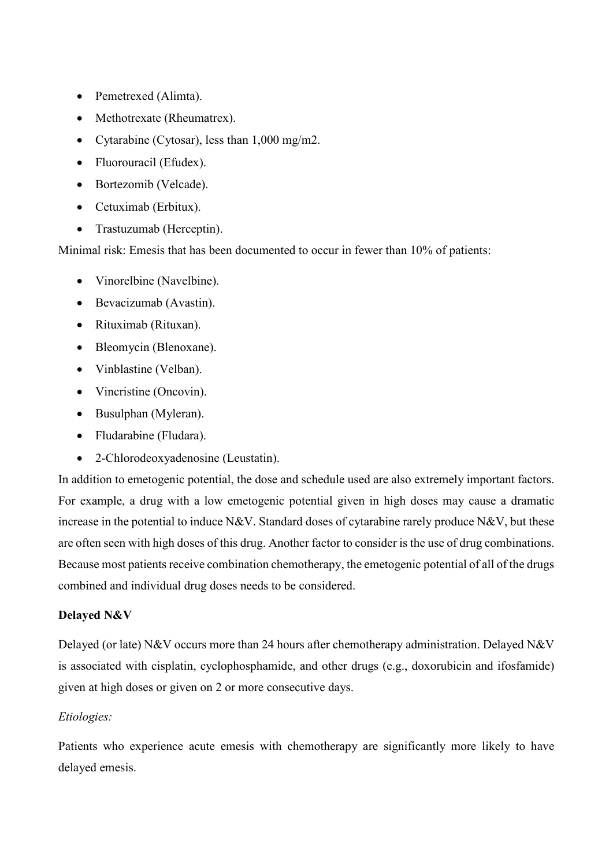- Pemetrexed (Alimta).
- Methotrexate (Rheumatrex).
- Cytarabine (Cytosar), less than 1,000 mg/m2.
- Fluorouracil (Efudex).
- Bortezomib (Velcade).
- Cetuximab (Erbitux).
- Trastuzumab (Herceptin).

Minimal risk: Emesis that has been documented to occur in fewer than 10% of patients:

- Vinorelbine (Navelbine).
- Bevacizumab (Avastin).
- Rituximab (Rituxan).
- Bleomycin (Blenoxane).
- Vinblastine (Velban).
- Vincristine (Oncovin).
- Busulphan (Myleran).
- Fludarabine (Fludara).
- 2-Chlorodeoxyadenosine (Leustatin).

In addition to emetogenic potential, the dose and schedule used are also extremely important factors. For example, a drug with a low emetogenic potential given in high doses may cause a dramatic increase in the potential to induce N&V. Standard doses of cytarabine rarely produce N&V, but these are often seen with high doses of this drug. Another factor to consider is the use of drug combinations. Because most patients receive combination chemotherapy, the emetogenic potential of all of the drugs combined and individual drug doses needs to be considered.

# **Delayed N&V**

Delayed (or late) N&V occurs more than 24 hours after chemotherapy administration. Delayed N&V is associated with cisplatin, cyclophosphamide, and other drugs (e.g., doxorubicin and ifosfamide) given at high doses or given on 2 or more consecutive days.

# *Etiologies:*

Patients who experience acute emesis with chemotherapy are significantly more likely to have delayed emesis.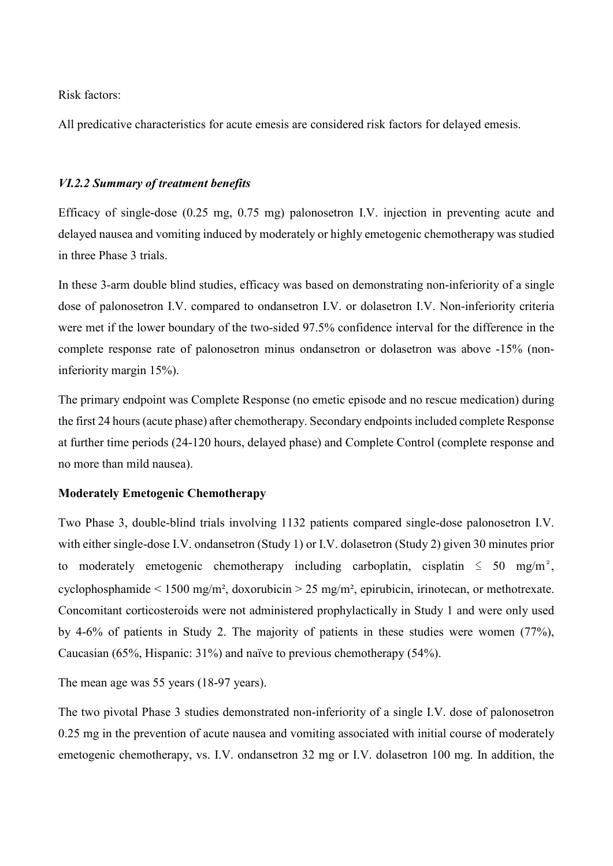Risk factors:

All predicative characteristics for acute emesis are considered risk factors for delayed emesis.

#### *VI.2.2 Summary of treatment benefits*

Efficacy of single-dose (0.25 mg, 0.75 mg) palonosetron I.V. injection in preventing acute and delayed nausea and vomiting induced by moderately or highly emetogenic chemotherapy was studied in three Phase 3 trials.

In these 3-arm double blind studies, efficacy was based on demonstrating non-inferiority of a single dose of palonosetron I.V. compared to ondansetron I.V. or dolasetron I.V. Non-inferiority criteria were met if the lower boundary of the two-sided 97.5% confidence interval for the difference in the complete response rate of palonosetron minus ondansetron or dolasetron was above -15% (noninferiority margin 15%).

The primary endpoint was Complete Response (no emetic episode and no rescue medication) during the first 24 hours (acute phase) after chemotherapy. Secondary endpoints included complete Response at further time periods (24-120 hours, delayed phase) and Complete Control (complete response and no more than mild nausea).

#### **Moderately Emetogenic Chemotherapy**

Two Phase 3, double-blind trials involving 1132 patients compared single-dose palonosetron I.V. with either single-dose I.V. ondansetron (Study 1) or I.V. dolasetron (Study 2) given 30 minutes prior to moderately emetogenic chemotherapy including carboplatin, cisplatin  $\leq 50$  mg/m<sup>2</sup>. cyclophosphamide < 1500 mg/m², doxorubicin > 25 mg/m², epirubicin, irinotecan, or methotrexate. Concomitant corticosteroids were not administered prophylactically in Study 1 and were only used by 4-6% of patients in Study 2. The majority of patients in these studies were women (77%), Caucasian (65%, Hispanic: 31%) and naïve to previous chemotherapy (54%).

The mean age was 55 years (18-97 years).

The two pivotal Phase 3 studies demonstrated non-inferiority of a single I.V. dose of palonosetron 0.25 mg in the prevention of acute nausea and vomiting associated with initial course of moderately emetogenic chemotherapy, vs. I.V. ondansetron 32 mg or I.V. dolasetron 100 mg. In addition, the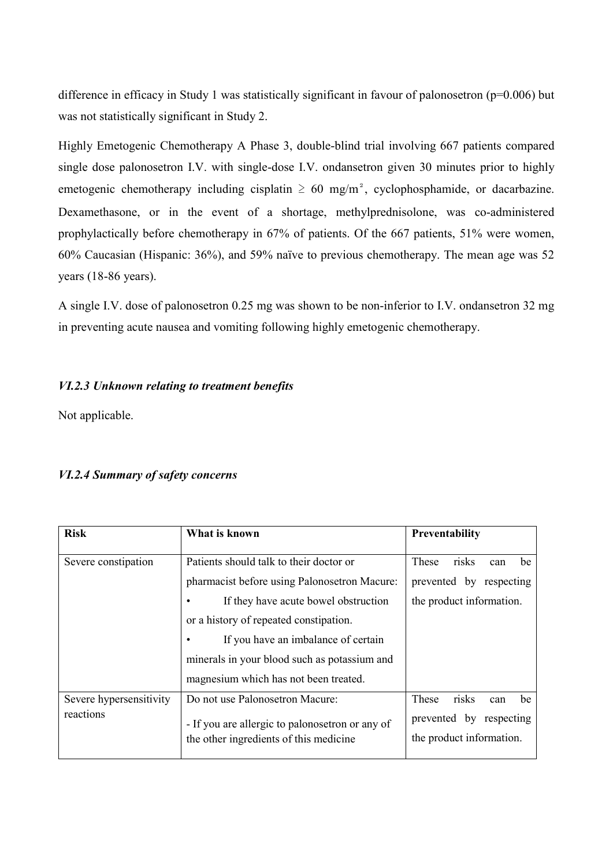difference in efficacy in Study 1 was statistically significant in favour of palonosetron (p=0.006) but was not statistically significant in Study 2.

Highly Emetogenic Chemotherapy A Phase 3, double-blind trial involving 667 patients compared single dose palonosetron I.V. with single-dose I.V. ondansetron given 30 minutes prior to highly emetogenic chemotherapy including cisplatin  $\geq 60$  mg/m<sup>2</sup>, cyclophosphamide, or dacarbazine. Dexamethasone, or in the event of a shortage, methylprednisolone, was co-administered prophylactically before chemotherapy in 67% of patients. Of the 667 patients, 51% were women, 60% Caucasian (Hispanic: 36%), and 59% naïve to previous chemotherapy. The mean age was 52 years (18-86 years).

A single I.V. dose of palonosetron 0.25 mg was shown to be non-inferior to I.V. ondansetron 32 mg in preventing acute nausea and vomiting following highly emetogenic chemotherapy.

# *VI.2.3 Unknown relating to treatment benefits*

Not applicable.

# *VI.2.4 Summary of safety concerns*

| <b>Risk</b>                          | What is known                                                                             | <b>Preventability</b>                               |
|--------------------------------------|-------------------------------------------------------------------------------------------|-----------------------------------------------------|
| Severe constipation                  | Patients should talk to their doctor or                                                   | risks<br>These<br>be<br>can                         |
|                                      | pharmacist before using Palonosetron Macure:                                              | prevented by respecting                             |
|                                      | If they have acute bowel obstruction<br>٠                                                 | the product information.                            |
|                                      | or a history of repeated constipation.                                                    |                                                     |
|                                      | If you have an imbalance of certain                                                       |                                                     |
|                                      | minerals in your blood such as potassium and                                              |                                                     |
|                                      | magnesium which has not been treated.                                                     |                                                     |
| Severe hypersensitivity<br>reactions | Do not use Palonosetron Macure:                                                           | risks<br><b>These</b><br>be<br>can                  |
|                                      | - If you are allergic to palonosetron or any of<br>the other ingredients of this medicine | prevented by respecting<br>the product information. |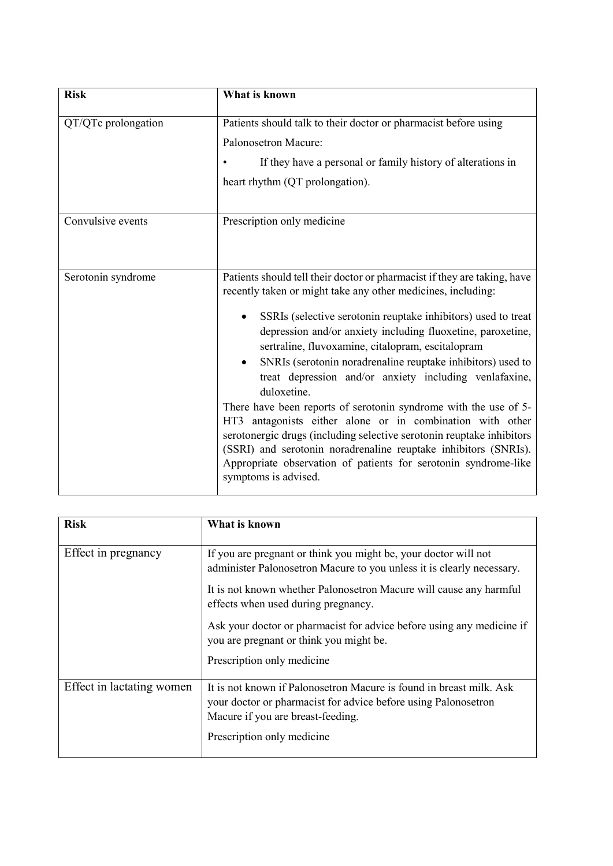| <b>Risk</b>         | What is known                                                                                                                                                                                                                                                                                                                                                                                                                                                                                                                                                                                                                                                                                                                                                                                                                                 |
|---------------------|-----------------------------------------------------------------------------------------------------------------------------------------------------------------------------------------------------------------------------------------------------------------------------------------------------------------------------------------------------------------------------------------------------------------------------------------------------------------------------------------------------------------------------------------------------------------------------------------------------------------------------------------------------------------------------------------------------------------------------------------------------------------------------------------------------------------------------------------------|
| QT/QTc prolongation | Patients should talk to their doctor or pharmacist before using<br>Palonosetron Macure:<br>If they have a personal or family history of alterations in<br>heart rhythm (QT prolongation).                                                                                                                                                                                                                                                                                                                                                                                                                                                                                                                                                                                                                                                     |
| Convulsive events   | Prescription only medicine                                                                                                                                                                                                                                                                                                                                                                                                                                                                                                                                                                                                                                                                                                                                                                                                                    |
| Serotonin syndrome  | Patients should tell their doctor or pharmacist if they are taking, have<br>recently taken or might take any other medicines, including:<br>SSRIs (selective serotonin reuptake inhibitors) used to treat<br>depression and/or anxiety including fluoxetine, paroxetine,<br>sertraline, fluvoxamine, citalopram, escitalopram<br>SNRIs (serotonin noradrenaline reuptake inhibitors) used to<br>treat depression and/or anxiety including venlafaxine,<br>duloxetine.<br>There have been reports of serotonin syndrome with the use of 5-<br>HT3 antagonists either alone or in combination with other<br>serotonergic drugs (including selective serotonin reuptake inhibitors<br>(SSRI) and serotonin noradrenaline reuptake inhibitors (SNRIs).<br>Appropriate observation of patients for serotonin syndrome-like<br>symptoms is advised. |

| <b>Risk</b>               | What is known                                                                                                                                                              |
|---------------------------|----------------------------------------------------------------------------------------------------------------------------------------------------------------------------|
| Effect in pregnancy       | If you are pregnant or think you might be, your doctor will not<br>administer Palonosetron Macure to you unless it is clearly necessary.                                   |
|                           | It is not known whether Palonosetron Macure will cause any harmful<br>effects when used during pregnancy.                                                                  |
|                           | Ask your doctor or pharmacist for advice before using any medicine if<br>you are pregnant or think you might be.                                                           |
|                           | Prescription only medicine                                                                                                                                                 |
| Effect in lactating women | It is not known if Palonosetron Macure is found in breast milk. Ask<br>your doctor or pharmacist for advice before using Palonosetron<br>Macure if you are breast-feeding. |
|                           | Prescription only medicine                                                                                                                                                 |